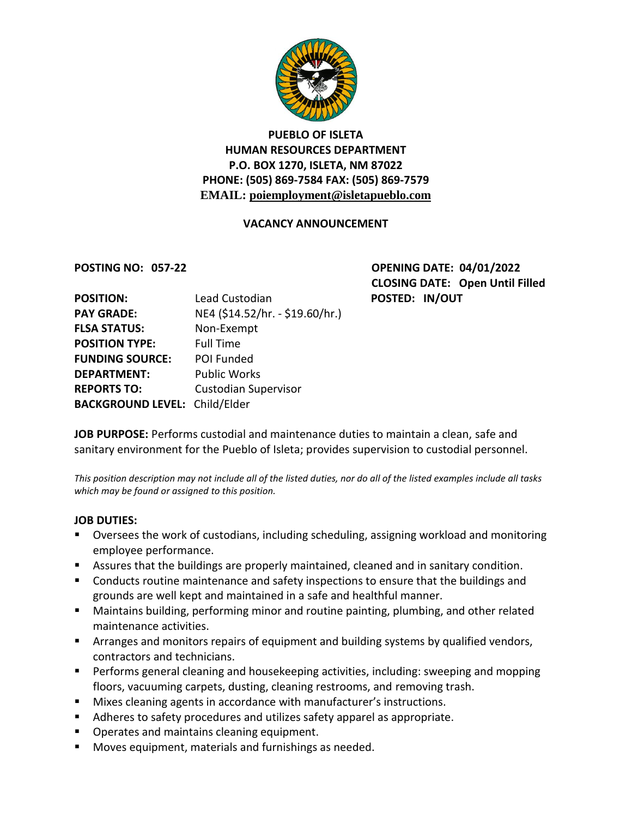

## **PUEBLO OF ISLETA HUMAN RESOURCES DEPARTMENT P.O. BOX 1270, ISLETA, NM 87022 PHONE: (505) 869-7584 FAX: (505) 869-7579 EMAIL: poiemployment@isletapueblo.com**

### **VACANCY ANNOUNCEMENT**

**POSTING NO: 057-22 OPENING DATE: 04/01/2022 CLOSING DATE: Open Until Filled POSTED: IN/OUT** 

| <b>POSITION:</b>                     | Lead Custodian                  |
|--------------------------------------|---------------------------------|
| <b>PAY GRADE:</b>                    | NE4 (\$14.52/hr. - \$19.60/hr.) |
| <b>FLSA STATUS:</b>                  | Non-Exempt                      |
| <b>POSITION TYPE:</b>                | <b>Full Time</b>                |
| <b>FUNDING SOURCE:</b>               | <b>POI Funded</b>               |
| <b>DEPARTMENT:</b>                   | <b>Public Works</b>             |
| <b>REPORTS TO:</b>                   | <b>Custodian Supervisor</b>     |
| <b>BACKGROUND LEVEL: Child/Elder</b> |                                 |

**JOB PURPOSE:** Performs custodial and maintenance duties to maintain a clean, safe and sanitary environment for the Pueblo of Isleta; provides supervision to custodial personnel.

*This position description may not include all of the listed duties, nor do all of the listed examples include all tasks which may be found or assigned to this position.*

#### **JOB DUTIES:**

- Oversees the work of custodians, including scheduling, assigning workload and monitoring employee performance.
- Assures that the buildings are properly maintained, cleaned and in sanitary condition.
- Conducts routine maintenance and safety inspections to ensure that the buildings and grounds are well kept and maintained in a safe and healthful manner.
- Maintains building, performing minor and routine painting, plumbing, and other related maintenance activities.
- **EXT** Arranges and monitors repairs of equipment and building systems by qualified vendors, contractors and technicians.
- **Performs general cleaning and housekeeping activities, including: sweeping and mopping** floors, vacuuming carpets, dusting, cleaning restrooms, and removing trash.
- Mixes cleaning agents in accordance with manufacturer's instructions.
- Adheres to safety procedures and utilizes safety apparel as appropriate.
- **Operates and maintains cleaning equipment.**
- Moves equipment, materials and furnishings as needed.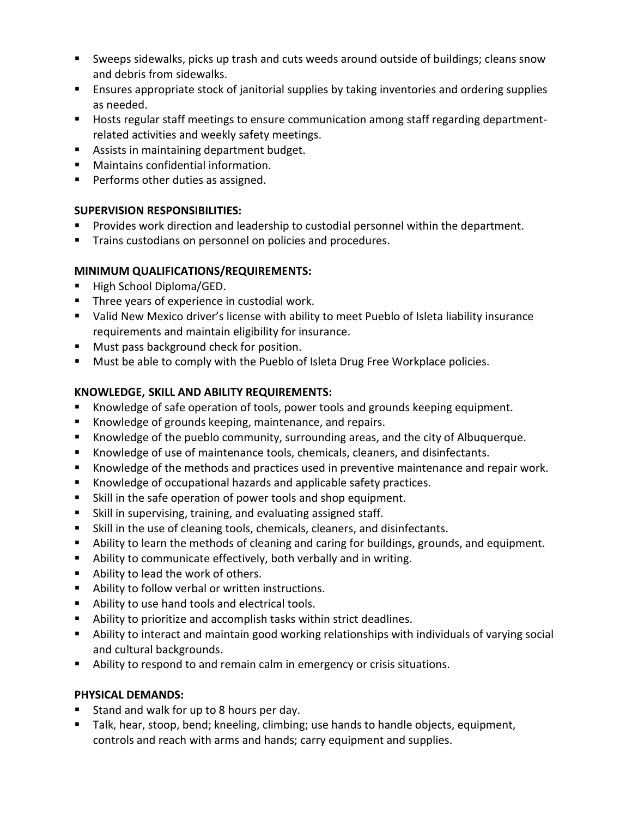- Sweeps sidewalks, picks up trash and cuts weeds around outside of buildings; cleans snow and debris from sidewalks.
- **E** Ensures appropriate stock of janitorial supplies by taking inventories and ordering supplies as needed.
- **Hosts regular staff meetings to ensure communication among staff regarding department**related activities and weekly safety meetings.
- **Assists in maintaining department budget.**
- Maintains confidential information.
- **Performs other duties as assigned.**

## **SUPERVISION RESPONSIBILITIES:**

- **Provides work direction and leadership to custodial personnel within the department.**
- **Trains custodians on personnel on policies and procedures.**

## **MINIMUM QUALIFICATIONS/REQUIREMENTS:**

- High School Diploma/GED.
- **Three years of experience in custodial work.**
- Valid New Mexico driver's license with ability to meet Pueblo of Isleta liability insurance requirements and maintain eligibility for insurance.
- **Must pass background check for position.**
- **Must be able to comply with the Pueblo of Isleta Drug Free Workplace policies.**

# **KNOWLEDGE, SKILL AND ABILITY REQUIREMENTS:**

- Knowledge of safe operation of tools, power tools and grounds keeping equipment.
- Knowledge of grounds keeping, maintenance, and repairs.
- Knowledge of the pueblo community, surrounding areas, and the city of Albuquerque.
- Knowledge of use of maintenance tools, chemicals, cleaners, and disinfectants.
- Knowledge of the methods and practices used in preventive maintenance and repair work.
- Knowledge of occupational hazards and applicable safety practices.
- Skill in the safe operation of power tools and shop equipment.
- Skill in supervising, training, and evaluating assigned staff.
- Skill in the use of cleaning tools, chemicals, cleaners, and disinfectants.
- Ability to learn the methods of cleaning and caring for buildings, grounds, and equipment.
- Ability to communicate effectively, both verbally and in writing.
- Ability to lead the work of others.
- Ability to follow verbal or written instructions.
- Ability to use hand tools and electrical tools.
- Ability to prioritize and accomplish tasks within strict deadlines.
- Ability to interact and maintain good working relationships with individuals of varying social and cultural backgrounds.
- Ability to respond to and remain calm in emergency or crisis situations.

# **PHYSICAL DEMANDS:**

- Stand and walk for up to 8 hours per day.
- Talk, hear, stoop, bend; kneeling, climbing; use hands to handle objects, equipment, controls and reach with arms and hands; carry equipment and supplies.